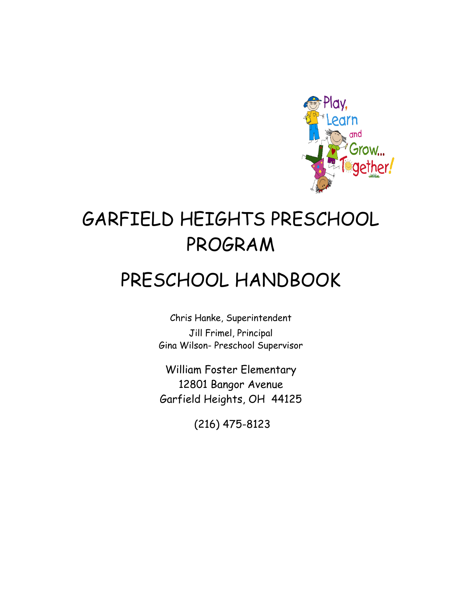

# GARFIELD HEIGHTS PRESCHOOL PROGRAM

# PRESCHOOL HANDBOOK

Chris Hanke, Superintendent Jill Frimel, Principal Gina Wilson- Preschool Supervisor

William Foster Elementary 12801 Bangor Avenue Garfield Heights, OH 44125

(216) 475-8123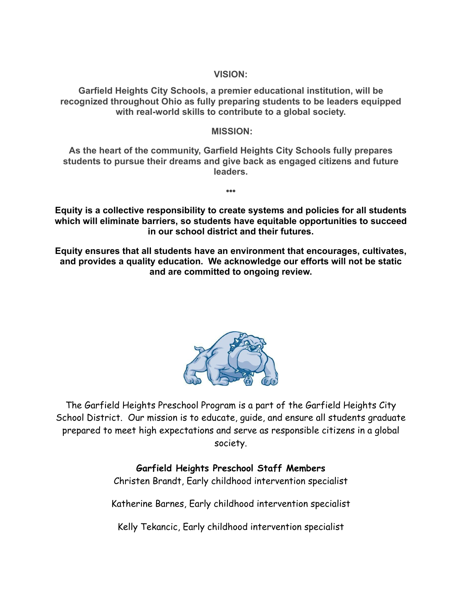**VISION:**

**Garfield Heights City Schools, a premier educational institution, will be recognized throughout Ohio as fully preparing students to be leaders equipped with real-world skills to contribute to a global society.**

#### **MISSION:**

**As the heart of the community, Garfield Heights City Schools fully prepares students to pursue their dreams and give back as engaged citizens and future leaders.**

**Equity is a collective responsibility to create systems and policies for all students which will eliminate barriers, so students have equitable opportunities to succeed in our school district and their futures.**

**•••**

**Equity ensures that all students have an environment that encourages, cultivates, and provides a quality education. We acknowledge our efforts will not be static and are committed to ongoing review.**



The Garfield Heights Preschool Program is a part of the Garfield Heights City School District. Our mission is to educate, guide, and ensure all students graduate prepared to meet high expectations and serve as responsible citizens in a global society.

## **Garfield Heights Preschool Staff Members**

Christen Brandt, Early childhood intervention specialist

Katherine Barnes, Early childhood intervention specialist

Kelly Tekancic, Early childhood intervention specialist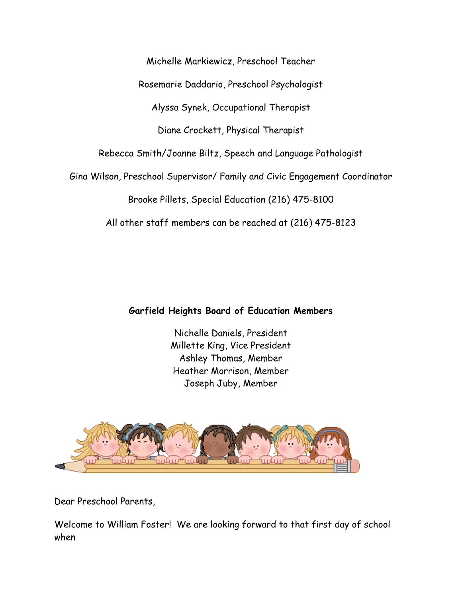Rosemarie Daddario, Preschool Psychologist Alyssa Synek, Occupational Therapist Diane Crockett, Physical Therapist Rebecca Smith/Joanne Biltz, Speech and Language Pathologist Gina Wilson, Preschool Supervisor/ Family and Civic Engagement Coordinator Brooke Pillets, Special Education (216) 475-8100 All other staff members can be reached at (216) 475-8123

Michelle Markiewicz, Preschool Teacher

## **Garfield Heights Board of Education Members**

Nichelle Daniels, President Millette King, Vice President Ashley Thomas, Member Heather Morrison, Member Joseph Juby, Member



Dear Preschool Parents,

Welcome to William Foster! We are looking forward to that first day of school when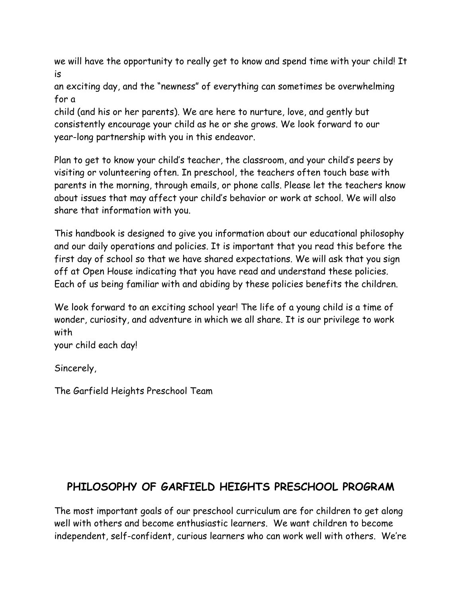we will have the opportunity to really get to know and spend time with your child! It is

an exciting day, and the "newness" of everything can sometimes be overwhelming for a

child (and his or her parents). We are here to nurture, love, and gently but consistently encourage your child as he or she grows. We look forward to our year-long partnership with you in this endeavor.

Plan to get to know your child's teacher, the classroom, and your child's peers by visiting or volunteering often. In preschool, the teachers often touch base with parents in the morning, through emails, or phone calls. Please let the teachers know about issues that may affect your child's behavior or work at school. We will also share that information with you.

This handbook is designed to give you information about our educational philosophy and our daily operations and policies. It is important that you read this before the first day of school so that we have shared expectations. We will ask that you sign off at Open House indicating that you have read and understand these policies. Each of us being familiar with and abiding by these policies benefits the children.

We look forward to an exciting school year! The life of a young child is a time of wonder, curiosity, and adventure in which we all share. It is our privilege to work with

your child each day!

Sincerely,

The Garfield Heights Preschool Team

# **PHILOSOPHY OF GARFIELD HEIGHTS PRESCHOOL PROGRAM**

The most important goals of our preschool curriculum are for children to get along well with others and become enthusiastic learners. We want children to become independent, self-confident, curious learners who can work well with others. We're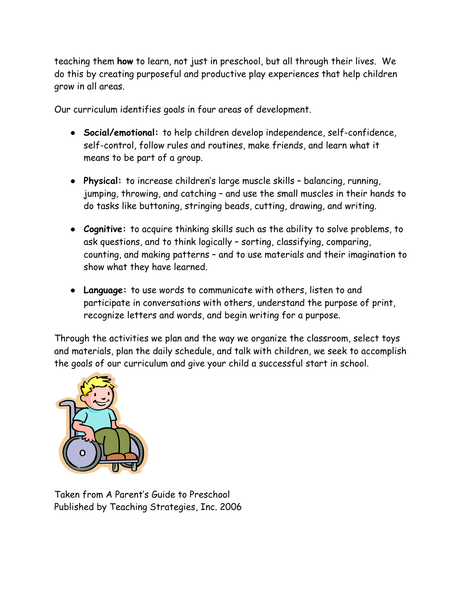teaching them **how** to learn, not just in preschool, but all through their lives. We do this by creating purposeful and productive play experiences that help children grow in all areas.

Our curriculum identifies goals in four areas of development.

- **● Social/emotional:** to help children develop independence, self-confidence, self-control, follow rules and routines, make friends, and learn what it means to be part of a group.
- **● Physical:** to increase children's large muscle skills balancing, running, jumping, throwing, and catching – and use the small muscles in their hands to do tasks like buttoning, stringing beads, cutting, drawing, and writing.
- **Cognitive:** to acquire thinking skills such as the ability to solve problems, to ask questions, and to think logically – sorting, classifying, comparing, counting, and making patterns – and to use materials and their imagination to show what they have learned.
- **● Language:** to use words to communicate with others, listen to and participate in conversations with others, understand the purpose of print, recognize letters and words, and begin writing for a purpose.

Through the activities we plan and the way we organize the classroom, select toys and materials, plan the daily schedule, and talk with children, we seek to accomplish the goals of our curriculum and give your child a successful start in school.



Taken from A Parent's Guide to Preschool Published by Teaching Strategies, Inc. 2006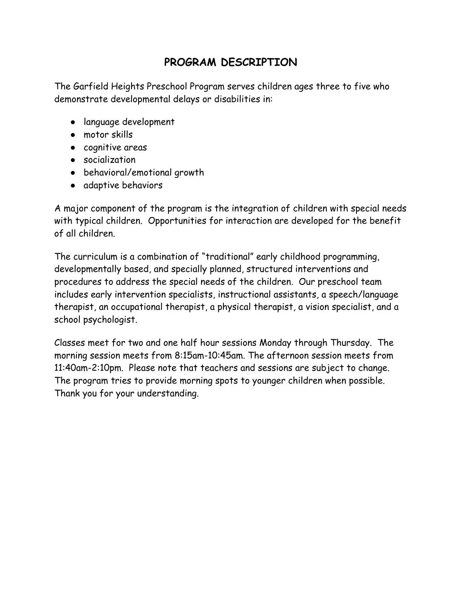# **PROGRAM DESCRIPTION**

The Garfield Heights Preschool Program serves children ages three to five who demonstrate developmental delays or disabilities in:

- language development
- motor skills
- cognitive areas
- socialization
- behavioral/emotional growth
- adaptive behaviors

A major component of the program is the integration of children with special needs with typical children. Opportunities for interaction are developed for the benefit of all children.

The curriculum is a combination of "traditional" early childhood programming, developmentally based, and specially planned, structured interventions and procedures to address the special needs of the children. Our preschool team includes early intervention specialists, instructional assistants, a speech/language therapist, an occupational therapist, a physical therapist, a vision specialist, and a school psychologist.

Classes meet for two and one half hour sessions Monday through Thursday. The morning session meets from 8:15am-10:45am. The afternoon session meets from 11:40am-2:10pm. Please note that teachers and sessions are subject to change. The program tries to provide morning spots to younger children when possible. Thank you for your understanding.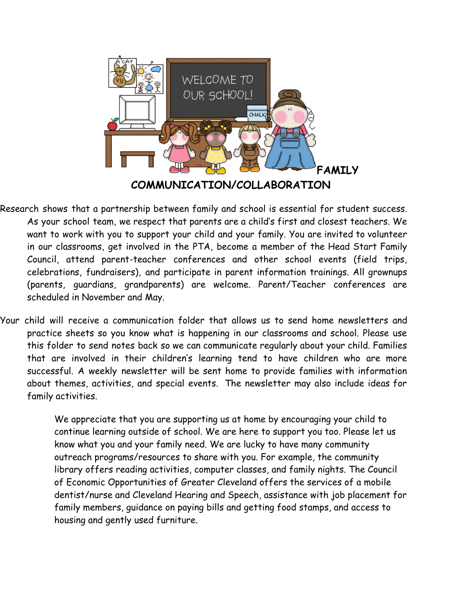

- Research shows that a partnership between family and school is essential for student success. As your school team, we respect that parents are a child's first and closest teachers. We want to work with you to support your child and your family. You are invited to volunteer in our classrooms, get involved in the PTA, become a member of the Head Start Family Council, attend parent-teacher conferences and other school events (field trips, celebrations, fundraisers), and participate in parent information trainings. All grownups (parents, guardians, grandparents) are welcome. Parent/Teacher conferences are scheduled in November and May.
- Your child will receive a communication folder that allows us to send home newsletters and practice sheets so you know what is happening in our classrooms and school. Please use this folder to send notes back so we can communicate regularly about your child. Families that are involved in their children's learning tend to have children who are more successful. A weekly newsletter will be sent home to provide families with information about themes, activities, and special events. The newsletter may also include ideas for family activities.

We appreciate that you are supporting us at home by encouraging your child to continue learning outside of school. We are here to support you too. Please let us know what you and your family need. We are lucky to have many community outreach programs/resources to share with you. For example, the community library offers reading activities, computer classes, and family nights. The Council of Economic Opportunities of Greater Cleveland offers the services of a mobile dentist/nurse and Cleveland Hearing and Speech, assistance with job placement for family members, guidance on paying bills and getting food stamps, and access to housing and gently used furniture.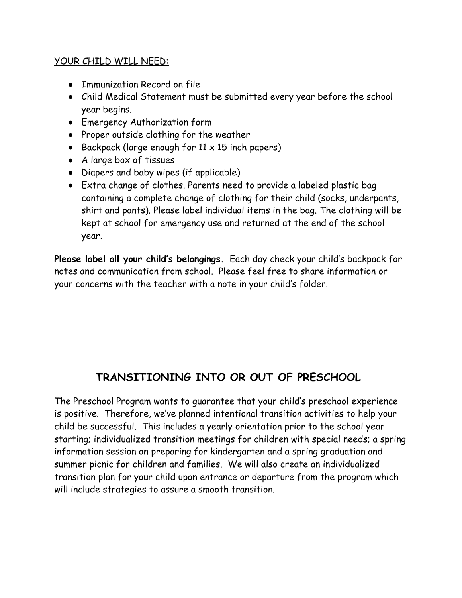#### YOUR CHILD WILL NEED:

- Immunization Record on file
- Child Medical Statement must be submitted every year before the school year begins.
- Emergency Authorization form
- Proper outside clothing for the weather
- Backpack (large enough for  $11 \times 15$  inch papers)
- A large box of tissues
- Diapers and baby wipes (if applicable)
- Extra change of clothes. Parents need to provide a labeled plastic bag containing a complete change of clothing for their child (socks, underpants, shirt and pants). Please label individual items in the bag. The clothing will be kept at school for emergency use and returned at the end of the school year.

**Please label all your child's belongings.** Each day check your child's backpack for notes and communication from school. Please feel free to share information or your concerns with the teacher with a note in your child's folder.

# **TRANSITIONING INTO OR OUT OF PRESCHOOL**

The Preschool Program wants to guarantee that your child's preschool experience is positive. Therefore, we've planned intentional transition activities to help your child be successful. This includes a yearly orientation prior to the school year starting; individualized transition meetings for children with special needs; a spring information session on preparing for kindergarten and a spring graduation and summer picnic for children and families. We will also create an individualized transition plan for your child upon entrance or departure from the program which will include strategies to assure a smooth transition.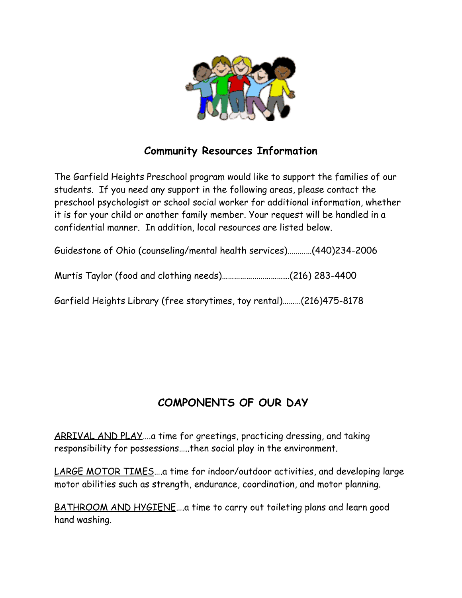

# **Community Resources Information**

The Garfield Heights Preschool program would like to support the families of our students. If you need any support in the following areas, please contact the preschool psychologist or school social worker for additional information, whether it is for your child or another family member. Your request will be handled in a confidential manner. In addition, local resources are listed below.

Guidestone of Ohio (counseling/mental health services)…………(440)234-2006

Murtis Taylor (food and clothing needs)…………………………...(216) 283-4400

Garfield Heights Library (free storytimes, toy rental)………(216)475-8178

# **COMPONENTS OF OUR DAY**

ARRIVAL AND PLAY….a time for greetings, practicing dressing, and taking responsibility for possessions…..then social play in the environment.

LARGE MOTOR TIMES….a time for indoor/outdoor activities, and developing large motor abilities such as strength, endurance, coordination, and motor planning.

BATHROOM AND HYGIENE….a time to carry out toileting plans and learn good hand washing.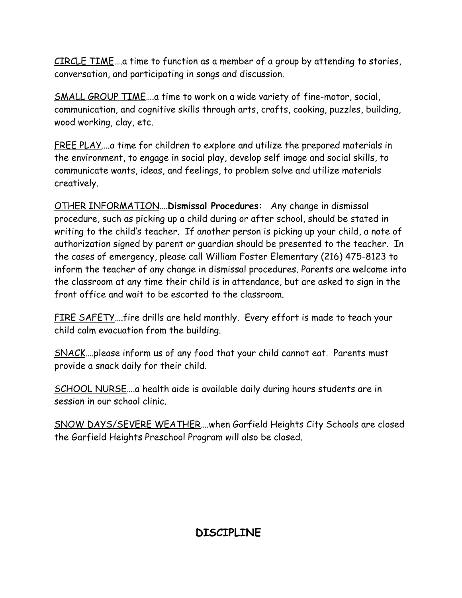CIRCLE TIME….a time to function as a member of a group by attending to stories, conversation, and participating in songs and discussion.

SMALL GROUP TIME….a time to work on a wide variety of fine-motor, social, communication, and cognitive skills through arts, crafts, cooking, puzzles, building, wood working, clay, etc.

FREE PLAY….a time for children to explore and utilize the prepared materials in the environment, to engage in social play, develop self image and social skills, to communicate wants, ideas, and feelings, to problem solve and utilize materials creatively.

OTHER INFORMATION….**Dismissal Procedures:**  Any change in dismissal procedure, such as picking up a child during or after school, should be stated in writing to the child's teacher. If another person is picking up your child, a note of authorization signed by parent or guardian should be presented to the teacher. In the cases of emergency, please call William Foster Elementary (216) 475-8123 to inform the teacher of any change in dismissal procedures. Parents are welcome into the classroom at any time their child is in attendance, but are asked to sign in the front office and wait to be escorted to the classroom.

FIRE SAFETY....fire drills are held monthly. Every effort is made to teach your child calm evacuation from the building.

SNACK….please inform us of any food that your child cannot eat. Parents must provide a snack daily for their child.

SCHOOL NURSE….a health aide is available daily during hours students are in session in our school clinic.

SNOW DAYS/SEVERE WEATHER….when Garfield Heights City Schools are closed the Garfield Heights Preschool Program will also be closed.

# **DISCIPLINE**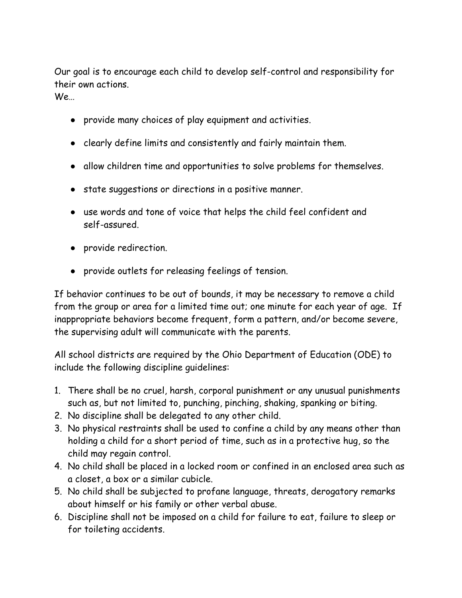Our goal is to encourage each child to develop self-control and responsibility for their own actions.

We…

- provide many choices of play equipment and activities.
- clearly define limits and consistently and fairly maintain them.
- allow children time and opportunities to solve problems for themselves.
- state suggestions or directions in a positive manner.
- use words and tone of voice that helps the child feel confident and self-assured.
- provide redirection.
- provide outlets for releasing feelings of tension.

If behavior continues to be out of bounds, it may be necessary to remove a child from the group or area for a limited time out; one minute for each year of age. If inappropriate behaviors become frequent, form a pattern, and/or become severe, the supervising adult will communicate with the parents.

All school districts are required by the Ohio Department of Education (ODE) to include the following discipline guidelines:

- 1. There shall be no cruel, harsh, corporal punishment or any unusual punishments such as, but not limited to, punching, pinching, shaking, spanking or biting.
- 2. No discipline shall be delegated to any other child.
- 3. No physical restraints shall be used to confine a child by any means other than holding a child for a short period of time, such as in a protective hug, so the child may regain control.
- 4. No child shall be placed in a locked room or confined in an enclosed area such as a closet, a box or a similar cubicle.
- 5. No child shall be subjected to profane language, threats, derogatory remarks about himself or his family or other verbal abuse.
- 6. Discipline shall not be imposed on a child for failure to eat, failure to sleep or for toileting accidents.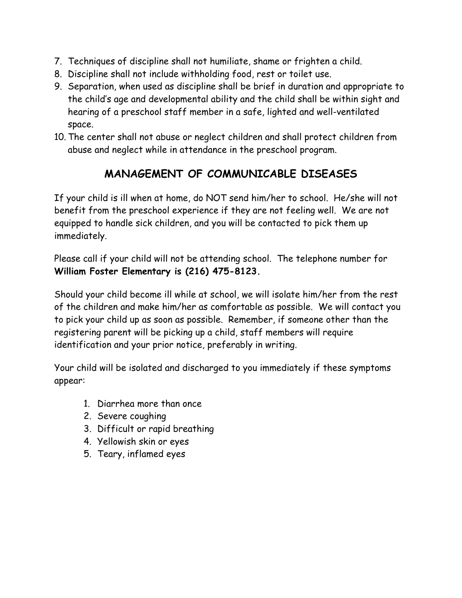- 7. Techniques of discipline shall not humiliate, shame or frighten a child.
- 8. Discipline shall not include withholding food, rest or toilet use.
- 9. Separation, when used as discipline shall be brief in duration and appropriate to the child's age and developmental ability and the child shall be within sight and hearing of a preschool staff member in a safe, lighted and well-ventilated space.
- 10. The center shall not abuse or neglect children and shall protect children from abuse and neglect while in attendance in the preschool program.

# **MANAGEMENT OF COMMUNICABLE DISEASES**

If your child is ill when at home, do NOT send him/her to school. He/she will not benefit from the preschool experience if they are not feeling well. We are not equipped to handle sick children, and you will be contacted to pick them up immediately.

Please call if your child will not be attending school. The telephone number for **William Foster Elementary is (216) 475-8123.**

Should your child become ill while at school, we will isolate him/her from the rest of the children and make him/her as comfortable as possible. We will contact you to pick your child up as soon as possible. Remember, if someone other than the registering parent will be picking up a child, staff members will require identification and your prior notice, preferably in writing.

Your child will be isolated and discharged to you immediately if these symptoms appear:

- 1. Diarrhea more than once
- 2. Severe coughing
- 3. Difficult or rapid breathing
- 4. Yellowish skin or eyes
- 5. Teary, inflamed eyes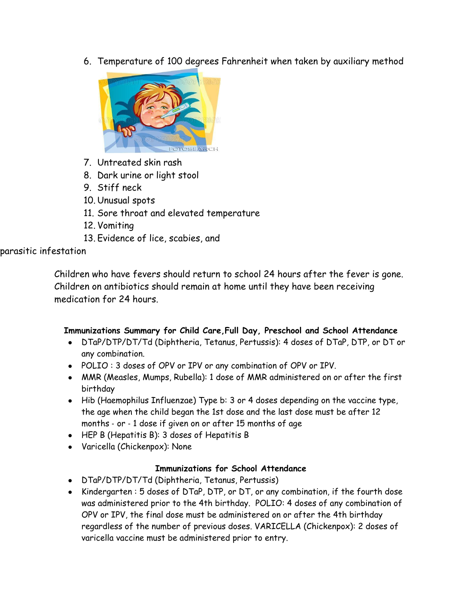6. Temperature of 100 degrees Fahrenheit when taken by auxiliary method



- 7. Untreated skin rash
- 8. Dark urine or light stool
- 9. Stiff neck
- 10. Unusual spots
- 11. Sore throat and elevated temperature
- 12. Vomiting
- 13. Evidence of lice, scabies, and

## parasitic infestation

Children who have fevers should return to school 24 hours after the fever is gone. Children on antibiotics should remain at home until they have been receiving medication for 24 hours.

## **Immunizations Summary for Child Care,Full Day, Preschool and School Attendance**

- DTaP/DTP/DT/Td (Diphtheria, Tetanus, Pertussis): 4 doses of DTaP, DTP, or DT or any combination.
- POLIO : 3 doses of OPV or IPV or any combination of OPV or IPV.
- MMR (Measles, Mumps, Rubella): 1 dose of MMR administered on or after the first birthday
- Hib (Haemophilus Influenzae) Type b: 3 or 4 doses depending on the vaccine type, the age when the child began the 1st dose and the last dose must be after 12 months ‐ or ‐ 1 dose if given on or after 15 months of age
- HEP B (Hepatitis B): 3 doses of Hepatitis B
- Varicella (Chickenpox): None

## **Immunizations for School Attendance**

- DTaP/DTP/DT/Td (Diphtheria, Tetanus, Pertussis)
- Kindergarten : 5 doses of DTaP, DTP, or DT, or any combination, if the fourth dose was administered prior to the 4th birthday. POLIO: 4 doses of any combination of OPV or IPV, the final dose must be administered on or after the 4th birthday regardless of the number of previous doses. VARICELLA (Chickenpox): 2 doses of varicella vaccine must be administered prior to entry.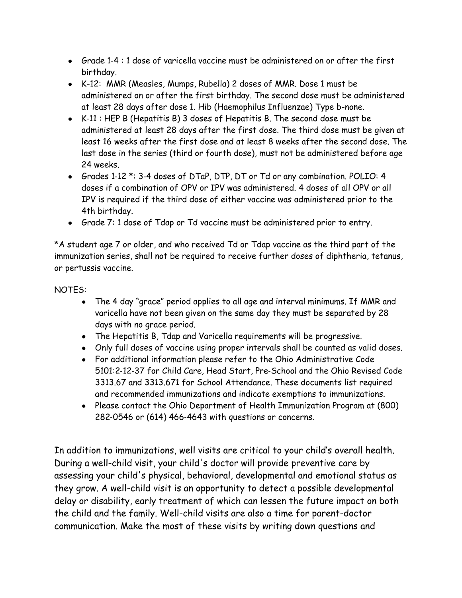- Grade 1-4 : 1 dose of varicella vaccine must be administered on or after the first birthday.
- K-12: MMR (Measles, Mumps, Rubella) 2 doses of MMR. Dose 1 must be administered on or after the first birthday. The second dose must be administered at least 28 days after dose 1. Hib (Haemophilus Influenzae) Type b-none.
- K‐11 : HEP B (Hepatitis B) 3 doses of Hepatitis B. The second dose must be administered at least 28 days after the first dose. The third dose must be given at least 16 weeks after the first dose and at least 8 weeks after the second dose. The last dose in the series (third or fourth dose), must not be administered before age 24 weeks.
- Grades 1-12 \*: 3-4 doses of DTaP, DTP, DT or Td or any combination. POLIO: 4 doses if a combination of OPV or IPV was administered. 4 doses of all OPV or all IPV is required if the third dose of either vaccine was administered prior to the 4th birthday.
- Grade 7: 1 dose of Tdap or Td vaccine must be administered prior to entry.

\*A student age 7 or older, and who received Td or Tdap vaccine as the third part of the immunization series, shall not be required to receive further doses of diphtheria, tetanus, or pertussis vaccine.

#### NOTES:

- The 4 day "grace" period applies to all age and interval minimums. If MMR and varicella have not been given on the same day they must be separated by 28 days with no grace period.
- The Hepatitis B, Tdap and Varicella requirements will be progressive.
- Only full doses of vaccine using proper intervals shall be counted as valid doses.
- For additional information please refer to the Ohio Administrative Code 5101:2‐12‐37 for Child Care, Head Start, Pre‐School and the Ohio Revised Code 3313.67 and 3313.671 for School Attendance. These documents list required and recommended immunizations and indicate exemptions to immunizations.
- Please contact the Ohio Department of Health Immunization Program at (800) 282‐0546 or (614) 466‐4643 with questions or concerns.

In addition to immunizations, well visits are critical to your child's overall health. During a well-child visit, your child's doctor will provide preventive care by assessing your child's physical, behavioral, developmental and emotional status as they grow. A well-child visit is an opportunity to detect a possible developmental delay or disability, early treatment of which can lessen the future impact on both the child and the family. Well-child visits are also a time for parent-doctor communication. Make the most of these visits by writing down questions and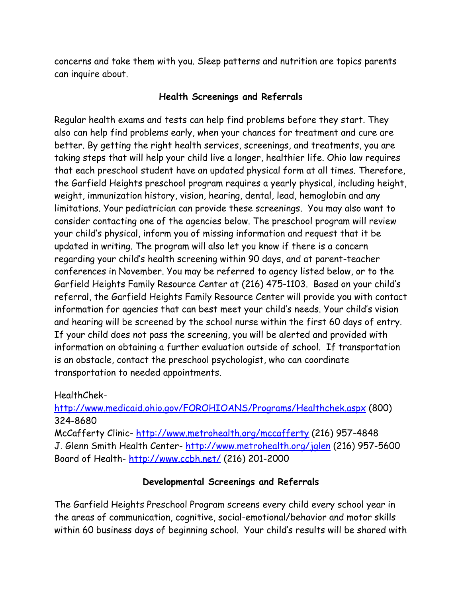concerns and take them with you. Sleep patterns and nutrition are topics parents can inquire about.

#### **Health Screenings and Referrals**

Regular health exams and tests can help find problems before they start. They also can help find problems early, when your chances for treatment and cure are better. By getting the right health services, screenings, and treatments, you are taking steps that will help your child live a longer, healthier life. Ohio law requires that each preschool student have an updated physical form at all times. Therefore, the Garfield Heights preschool program requires a yearly physical, including height, weight, immunization history, vision, hearing, dental, lead, hemoglobin and any limitations. Your pediatrician can provide these screenings. You may also want to consider contacting one of the agencies below. The preschool program will review your child's physical, inform you of missing information and request that it be updated in writing. The program will also let you know if there is a concern regarding your child's health screening within 90 days, and at parent-teacher conferences in November. You may be referred to agency listed below, or to the Garfield Heights Family Resource Center at (216) 475-1103. Based on your child's referral, the Garfield Heights Family Resource Center will provide you with contact information for agencies that can best meet your child's needs. Your child's vision and hearing will be screened by the school nurse within the first 60 days of entry. If your child does not pass the screening, you will be alerted and provided with information on obtaining a further evaluation outside of school. If transportation is an obstacle, contact the preschool psychologist, who can coordinate transportation to needed appointments.

HealthChek-

<http://www.medicaid.ohio.gov/FOROHIOANS/Programs/Healthchek.aspx> (800) 324-8680

McCafferty Clinic- <http://www.metrohealth.org/mccafferty> (216) 957-4848 J. Glenn Smith Health Center- <http://www.metrohealth.org/jglen> (216) 957-5600 Board of Health- <http://www.ccbh.net/> (216) 201-2000

## **Developmental Screenings and Referrals**

The Garfield Heights Preschool Program screens every child every school year in the areas of communication, cognitive, social-emotional/behavior and motor skills within 60 business days of beginning school. Your child's results will be shared with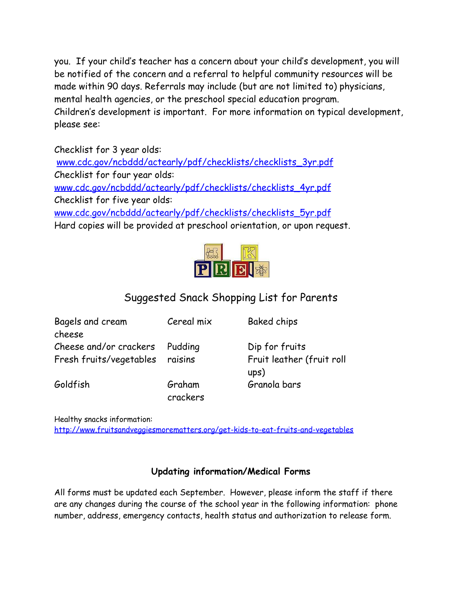you. If your child's teacher has a concern about your child's development, you will be notified of the concern and a referral to helpful community resources will be made within 90 days. Referrals may include (but are not limited to) physicians, mental health agencies, or the preschool special education program. Children's development is important. For more information on typical development, please see:

Checklist for 3 year olds: [www.cdc.gov/ncbddd/actearly/pdf/checklists/checklists\\_3yr.pdf](http://www.cdc.gov/ncbddd/actearly/pdf/checklists/checklists_3yr.pdf) Checklist for four year olds: [www.cdc.gov/ncbddd/actearly/pdf/checklists/checklists\\_4yr.pdf](http://www.cdc.gov/ncbddd/actearly/pdf/checklists/checklists_4yr.pdf) Checklist for five year olds: [www.cdc.gov/ncbddd/actearly/pdf/checklists/checklists\\_5yr.pdf](http://www.cdc.gov/ncbddd/actearly/pdf/checklists/checklists_5yr.pdf) Hard copies will be provided at preschool orientation, or upon request.



# Suggested Snack Shopping List for Parents

| Bagels and cream                | Cereal mix         | <b>Baked chips</b>                |
|---------------------------------|--------------------|-----------------------------------|
| cheese                          |                    |                                   |
| Cheese and/or crackers Pudding  |                    | Dip for fruits                    |
| Fresh fruits/vegetables raisins |                    | Fruit leather (fruit roll<br>ups) |
| Goldfish                        | Graham<br>crackers | Granola bars                      |

Healthy snacks information:

<http://www.fruitsandveggiesmorematters.org/get-kids-to-eat-fruits-and-vegetables>

## **Updating information/Medical Forms**

All forms must be updated each September. However, please inform the staff if there are any changes during the course of the school year in the following information: phone number, address, emergency contacts, health status and authorization to release form.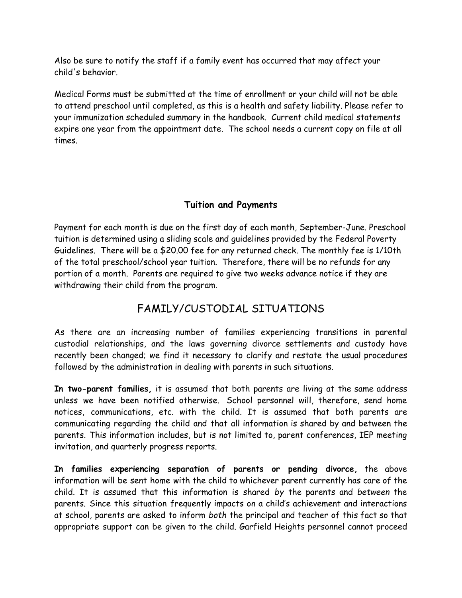Also be sure to notify the staff if a family event has occurred that may affect your child's behavior.

Medical Forms must be submitted at the time of enrollment or your child will not be able to attend preschool until completed, as this is a health and safety liability. Please refer to your immunization scheduled summary in the handbook. Current child medical statements expire one year from the appointment date. The school needs a current copy on file at all times.

## **Tuition and Payments**

Payment for each month is due on the first day of each month, September-June. Preschool tuition is determined using a sliding scale and guidelines provided by the Federal Poverty Guidelines. There will be a \$20.00 fee for any returned check. The monthly fee is 1/10th of the total preschool/school year tuition. Therefore, there will be no refunds for any portion of a month. Parents are required to give two weeks advance notice if they are withdrawing their child from the program.

# FAMILY/CUSTODIAL SITUATIONS

As there are an increasing number of families experiencing transitions in parental custodial relationships, and the laws governing divorce settlements and custody have recently been changed; we find it necessary to clarify and restate the usual procedures followed by the administration in dealing with parents in such situations.

**In two-parent families,** it is assumed that both parents are living at the same address unless we have been notified otherwise. School personnel will, therefore, send home notices, communications, etc. with the child. It is assumed that both parents are communicating regarding the child and that all information is shared by and between the parents. This information includes, but is not limited to, parent conferences, IEP meeting invitation, and quarterly progress reports.

**In families experiencing separation of parents or pending divorce,** the above information will be sent home with the child to whichever parent currently has care of the child. It is assumed that this information is shared *by* the parents and *between* the parents. Since this situation frequently impacts on a child's achievement and interactions at school, parents are asked to inform *both* the principal and teacher of this fact so that appropriate support can be given to the child. Garfield Heights personnel cannot proceed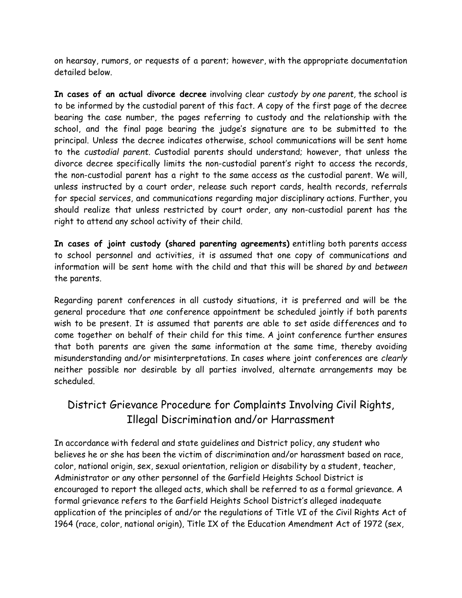on hearsay, rumors, or requests of a parent; however, with the appropriate documentation detailed below.

**In cases of an actual divorce decree** involving clear *custody by one parent,* the school is to be informed by the custodial parent of this fact. A copy of the first page of the decree bearing the case number, the pages referring to custody and the relationship with the school, and the final page bearing the judge's signature are to be submitted to the principal. Unless the decree indicates otherwise, school communications will be sent home to the *custodial parent.* Custodial parents should understand; however, that unless the divorce decree specifically limits the non-custodial parent's right to access the records, the non-custodial parent has a right to the same access as the custodial parent. We will, unless instructed by a court order, release such report cards, health records, referrals for special services, and communications regarding major disciplinary actions. Further, you should realize that unless restricted by court order, any non-custodial parent has the right to attend any school activity of their child.

**In cases of joint custody (shared parenting agreements)** entitling both parents access to school personnel and activities, it is assumed that one copy of communications and information will be sent home with the child and that this will be shared *by* and *between* the parents.

Regarding parent conferences in all custody situations, it is preferred and will be the general procedure that *one* conference appointment be scheduled jointly if both parents wish to be present. It is assumed that parents are able to set aside differences and to come together on behalf of their child for this time. A joint conference further ensures that both parents are given the same information at the same time, thereby avoiding misunderstanding and/or misinterpretations. In cases where joint conferences are *clearly* neither possible nor desirable by all parties involved, alternate arrangements may be scheduled.

# District Grievance Procedure for Complaints Involving Civil Rights, Illegal Discrimination and/or Harrassment

In accordance with federal and state guidelines and District policy, any student who believes he or she has been the victim of discrimination and/or harassment based on race, color, national origin, sex, sexual orientation, religion or disability by a student, teacher, Administrator or any other personnel of the Garfield Heights School District is encouraged to report the alleged acts, which shall be referred to as a formal grievance. A formal grievance refers to the Garfield Heights School District's alleged inadequate application of the principles of and/or the regulations of Title VI of the Civil Rights Act of 1964 (race, color, national origin), Title IX of the Education Amendment Act of 1972 (sex,